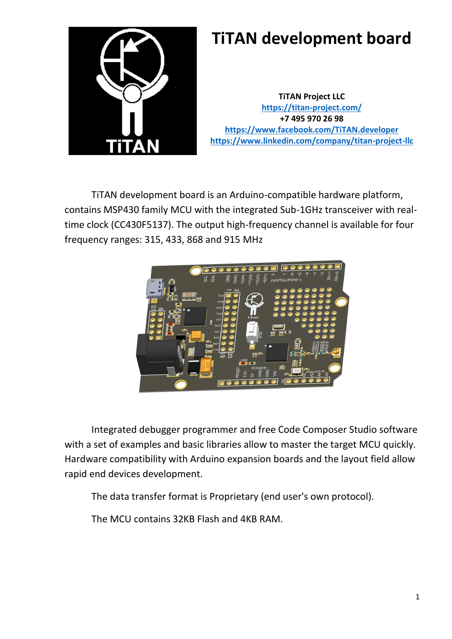

## **TiTAN development board**

**TiTAN Project LLC <https://titan-project.com/> +7 495 970 26 98 <https://www.facebook.com/TiTAN.developer> <https://www.linkedin.com/company/titan-project-llc>**

TiTAN development board is an Arduino-compatible hardware platform, contains MSP430 family MCU with the integrated Sub-1GHz transceiver with realtime clock (CC430F5137). The output high-frequency channel is available for four frequency ranges: 315, 433, 868 and 915 MHz



Integrated debugger programmer and free Code Composer Studio software with a set of examples and basic libraries allow to master the target MCU quickly. Hardware compatibility with Arduino expansion boards and the layout field allow rapid end devices development.

The data transfer format is Proprietary (end user's own protocol).

The MCU contains 32KB Flash and 4KB RAM.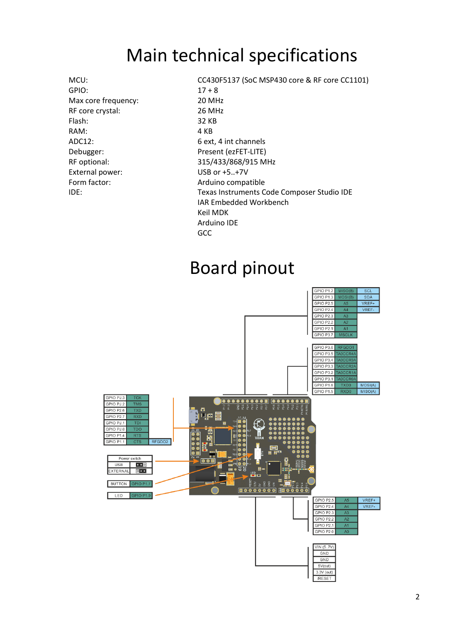## Main technical specifications

GPIO: 17 + 8 Max core frequency: 20 MHz RF core crystal: 26 MHz Flash: 32 KB RAM: 4 KB ADC12: 6 ext, 4 int channels Debugger: Present (ezFET-LITE) External power: USB or +5..+7V Form factor: Arduino compatible

MCU: CC430F5137 (SoC MSP430 core & RF core CC1101) RF optional: 315/433/868/915 MHz IDE: Texas Instruments Code Composer Studio IDE IAR Embedded Workbench Keil MDK Arduino IDE **GCC** 

## Board pinout